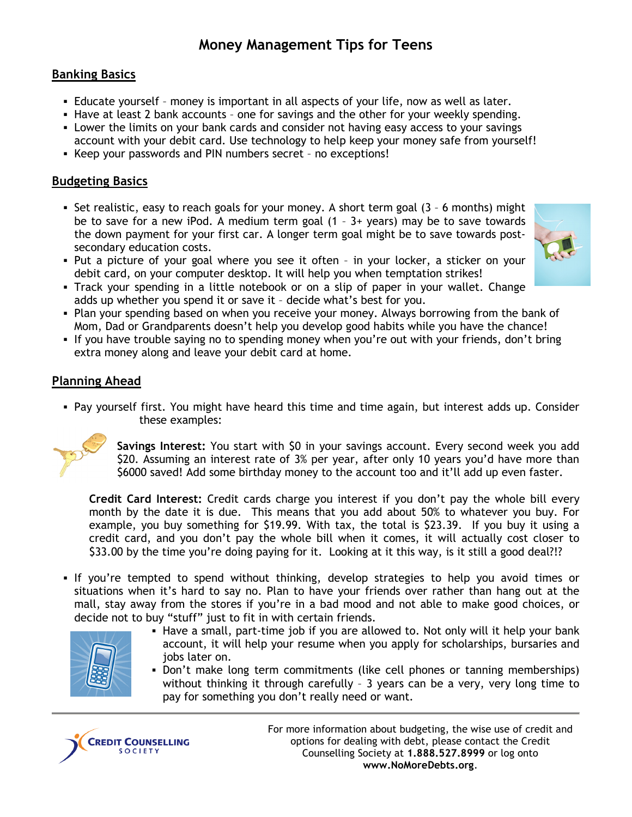# **Money Management Tips for Teens**

## **Banking Basics**

- Educate yourself money is important in all aspects of your life, now as well as later.
- Have at least 2 bank accounts one for savings and the other for your weekly spending.
- Lower the limits on your bank cards and consider not having easy access to your savings account with your debit card. Use technology to help keep your money safe from yourself!
- Keep your passwords and PIN numbers secret no exceptions!

# **Budgeting Basics**

- Set realistic, easy to reach goals for your money. A short term goal  $(3 6$  months) might be to save for a new iPod. A medium term goal (1 – 3+ years) may be to save towards the down payment for your first car. A longer term goal might be to save towards postsecondary education costs.
- Put a picture of your goal where you see it often in your locker, a sticker on your debit card, on your computer desktop. It will help you when temptation strikes!
- Track your spending in a little notebook or on a slip of paper in your wallet. Change
- adds up whether you spend it or save it decide what's best for you.
- Plan your spending based on when you receive your money. Always borrowing from the bank of Mom, Dad or Grandparents doesn't help you develop good habits while you have the chance!
- If you have trouble saying no to spending money when you're out with your friends, don't bring extra money along and leave your debit card at home.

### **Planning Ahead**

 Pay yourself first. You might have heard this time and time again, but interest adds up. Consider these examples:



**Savings Interest:** You start with \$0 in your savings account. Every second week you add \$20. Assuming an interest rate of 3% per year, after only 10 years you'd have more than \$6000 saved! Add some birthday money to the account too and it'll add up even faster.

**Credit Card Interest:** Credit cards charge you interest if you don't pay the whole bill every month by the date it is due. This means that you add about 50% to whatever you buy. For example, you buy something for \$19.99. With tax, the total is \$23.39. If you buy it using a credit card, and you don't pay the whole bill when it comes, it will actually cost closer to \$33.00 by the time you're doing paying for it. Looking at it this way, is it still a good deal?!?

 If you're tempted to spend without thinking, develop strategies to help you avoid times or situations when it's hard to say no. Plan to have your friends over rather than hang out at the mall, stay away from the stores if you're in a bad mood and not able to make good choices, or decide not to buy "stuff" just to fit in with certain friends.



- Have a small, part-time job if you are allowed to. Not only will it help your bank account, it will help your resume when you apply for scholarships, bursaries and jobs later on.
- Don't make long term commitments (like cell phones or tanning memberships) without thinking it through carefully – 3 years can be a very, very long time to pay for something you don't really need or want.



For more information about budgeting, the wise use of credit and options for dealing with debt, please contact the Credit Counselling Society at **1.888.527.8999** or log onto **www.NoMoreDebts.org**.